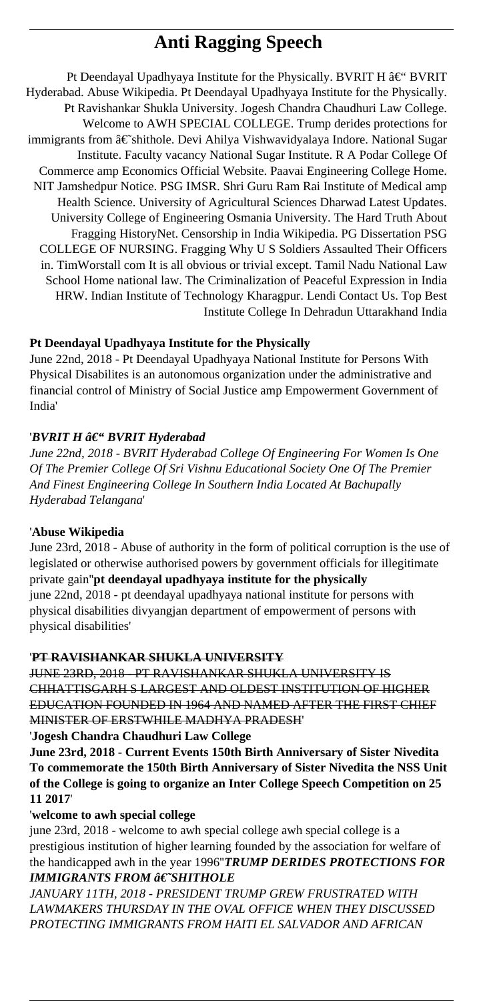# **Anti Ragging Speech**

Pt Deendayal Upadhyaya Institute for the Physically. BVRIT H $\hat{a} \in$ " BVRIT Hyderabad. Abuse Wikipedia. Pt Deendayal Upadhyaya Institute for the Physically. Pt Ravishankar Shukla University. Jogesh Chandra Chaudhuri Law College. Welcome to AWH SPECIAL COLLEGE. Trump derides protections for immigrants from †shithole. Devi Ahilya Vishwavidyalaya Indore. National Sugar Institute. Faculty vacancy National Sugar Institute. R A Podar College Of Commerce amp Economics Official Website. Paavai Engineering College Home. NIT Jamshedpur Notice. PSG IMSR. Shri Guru Ram Rai Institute of Medical amp Health Science. University of Agricultural Sciences Dharwad Latest Updates. University College of Engineering Osmania University. The Hard Truth About Fragging HistoryNet. Censorship in India Wikipedia. PG Dissertation PSG COLLEGE OF NURSING. Fragging Why U S Soldiers Assaulted Their Officers in. TimWorstall com It is all obvious or trivial except. Tamil Nadu National Law School Home national law. The Criminalization of Peaceful Expression in India HRW. Indian Institute of Technology Kharagpur. Lendi Contact Us. Top Best Institute College In Dehradun Uttarakhand India

# **Pt Deendayal Upadhyaya Institute for the Physically**

June 22nd, 2018 - Pt Deendayal Upadhyaya National Institute for Persons With Physical Disabilites is an autonomous organization under the administrative and financial control of Ministry of Social Justice amp Empowerment Government of India'

# 'BVRIT H  $\hat{a} \in$ " BVRIT Hyderabad

*June 22nd, 2018 - BVRIT Hyderabad College Of Engineering For Women Is One Of The Premier College Of Sri Vishnu Educational Society One Of The Premier And Finest Engineering College In Southern India Located At Bachupally Hyderabad Telangana*'

## '**Abuse Wikipedia**

June 23rd, 2018 - Abuse of authority in the form of political corruption is the use of legislated or otherwise authorised powers by government officials for illegitimate private gain''**pt deendayal upadhyaya institute for the physically**

june 22nd, 2018 - pt deendayal upadhyaya national institute for persons with physical disabilities divyangjan department of empowerment of persons with physical disabilities'

## '**PT RAVISHANKAR SHUKLA UNIVERSITY**

JUNE 23RD, 2018 - PT RAVISHANKAR SHUKLA UNIVERSITY IS CHHATTISGARH S LARGEST AND OLDEST INSTITUTION OF HIGHER EDUCATION FOUNDED IN 1964 AND NAMED AFTER THE FIRST CHIEF MINISTER OF ERSTWHILE MADHYA PRADESH'

## '**Jogesh Chandra Chaudhuri Law College**

**June 23rd, 2018 - Current Events 150th Birth Anniversary of Sister Nivedita To commemorate the 150th Birth Anniversary of Sister Nivedita the NSS Unit of the College is going to organize an Inter College Speech Competition on 25 11 2017**'

## '**welcome to awh special college**

june 23rd, 2018 - welcome to awh special college awh special college is a prestigious institution of higher learning founded by the association for welfare of the handicapped awh in the year 1996''*TRUMP DERIDES PROTECTIONS FOR IMMIGRANTS FROM*  $\hat{a} \in$ *"SHITHOLE* 

*JANUARY 11TH, 2018 - PRESIDENT TRUMP GREW FRUSTRATED WITH LAWMAKERS THURSDAY IN THE OVAL OFFICE WHEN THEY DISCUSSED PROTECTING IMMIGRANTS FROM HAITI EL SALVADOR AND AFRICAN*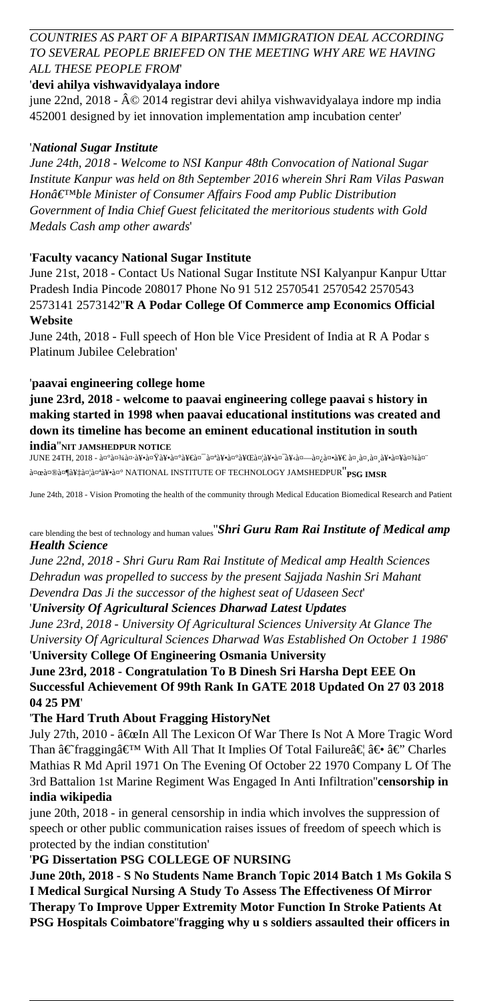# *COUNTRIES AS PART OF A BIPARTISAN IMMIGRATION DEAL ACCORDING TO SEVERAL PEOPLE BRIEFED ON THE MEETING WHY ARE WE HAVING ALL THESE PEOPLE FROM*'

# '**devi ahilya vishwavidyalaya indore**

june 22nd, 2018 - © 2014 registrar devi ahilya vishwavidyalaya indore mp india 452001 designed by iet innovation implementation amp incubation center'

# '*National Sugar Institute*

*June 24th, 2018 - Welcome to NSI Kanpur 48th Convocation of National Sugar Institute Kanpur was held on 8th September 2016 wherein Shri Ram Vilas Paswan Honâ*€<sup>™</sup>ble Minister of Consumer Affairs Food amp Public Distribution *Government of India Chief Guest felicitated the meritorious students with Gold Medals Cash amp other awards*'

# '**Faculty vacancy National Sugar Institute**

June 21st, 2018 - Contact Us National Sugar Institute NSI Kalyanpur Kanpur Uttar Pradesh India Pincode 208017 Phone No 91 512 2570541 2570542 2570543 2573141 2573142''**R A Podar College Of Commerce amp Economics Official Website**

June 24th, 2018 - Full speech of Hon ble Vice President of India at R A Podar s Platinum Jubilee Celebration'

## '**paavai engineering college home**

**june 23rd, 2018 - welcome to paavai engineering college paavai s history in making started in 1998 when paavai educational institutions was created and down its timeline has become an eminent educational institution in south india**''**NIT JAMSHEDPUR NOTICE**

JUNE 24TH, 2018 - वे¤ेव्यअवेय-वे¥•वे¤Ÿवे¥•वे¤ेवे¥€वे¤" वे¤ªवे¥•वे¤ेवे¥€वेय∃वे¥•वे¤-वेयः वेय—वेयः वेयः पद्भः वेयः वे¥•वे¤¥ग्वेयअवेयः d¤œd¤®d¤¶d¥‡d¤¦d¤ªd¥∙d¤° NATIONAL INSTITUTE OF TECHNOLOGY JAMSHEDPUR<sup>''</sup>PSG IMSR

June 24th, 2018 - Vision Promoting the health of the community through Medical Education Biomedical Research and Patient

# care blending the best of technology and human values''*Shri Guru Ram Rai Institute of Medical amp Health Science*

*June 22nd, 2018 - Shri Guru Ram Rai Institute of Medical amp Health Sciences Dehradun was propelled to success by the present Sajjada Nashin Sri Mahant Devendra Das Ji the successor of the highest seat of Udaseen Sect*'

'*University Of Agricultural Sciences Dharwad Latest Updates*

*June 23rd, 2018 - University Of Agricultural Sciences University At Glance The University Of Agricultural Sciences Dharwad Was Established On October 1 1986*' '**University College Of Engineering Osmania University**

**June 23rd, 2018 - Congratulation To B Dinesh Sri Harsha Dept EEE On Successful Achievement Of 99th Rank In GATE 2018 Updated On 27 03 2018 04 25 PM**'

## '**The Hard Truth About Fragging HistoryNet**

July 27th, 2010 -  $\hat{a} \in \mathbb{C}$  In All The Lexicon Of War There Is Not A More Tragic Word Than  $\hat{a} \in \hat{a} \in \hat{a} \in \mathbb{N}$  With All That It Implies Of Total Failure  $\hat{a} \in \hat{a} \in \hat{a} \in \hat{a} \in \hat{a}$  Charles Mathias R Md April 1971 On The Evening Of October 22 1970 Company L Of The 3rd Battalion 1st Marine Regiment Was Engaged In Anti Infiltration''**censorship in india wikipedia**

june 20th, 2018 - in general censorship in india which involves the suppression of speech or other public communication raises issues of freedom of speech which is protected by the indian constitution'

## '**PG Dissertation PSG COLLEGE OF NURSING**

**June 20th, 2018 - S No Students Name Branch Topic 2014 Batch 1 Ms Gokila S I Medical Surgical Nursing A Study To Assess The Effectiveness Of Mirror Therapy To Improve Upper Extremity Motor Function In Stroke Patients At PSG Hospitals Coimbatore**''**fragging why u s soldiers assaulted their officers in**